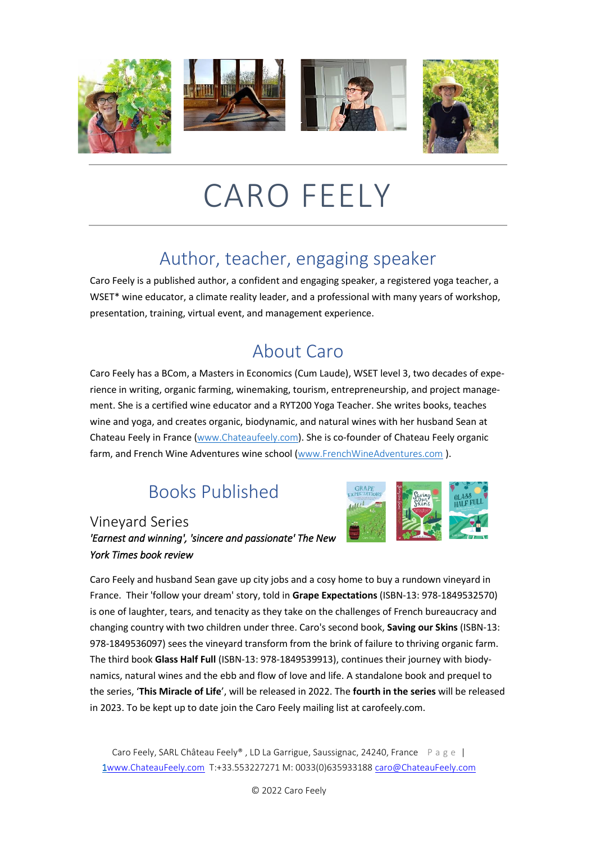

# CARO FEELY

## Author, teacher, engaging speaker

Caro Feely is a published author, a confident and engaging speaker, a registered yoga teacher, a WSET\* wine educator, a climate reality leader, and a professional with many years of workshop, presentation, training, virtual event, and management experience.

# About Caro

Caro Feely has a BCom, a Masters in Economics (Cum Laude), WSET level 3, two decades of experience in writing, organic farming, winemaking, tourism, entrepreneurship, and project management. She is a certified wine educator and a RYT200 Yoga Teacher. She writes books, teaches wine and yoga, and creates organic, biodynamic, and natural wines with her husband Sean at Chateau Feely in France ([www.Chateaufeely.com](http://www.chateaufeely.com/)). She is co-founder of Chateau Feely organic farm, and French Wine Adventures wine school ([www.FrenchWineAdventures.com](http://www.frenchwineadventures.com/) ).

# Books Published

### Vineyard Series *'Earnest and winning', 'sincere and passionate' The New York Times book review*



Caro Feely and husband Sean gave up city jobs and a cosy home to buy a rundown vineyard in France. Their 'follow your dream' story, told in **Grape Expectations** (ISBN-13: 978-1849532570) is one of laughter, tears, and tenacity as they take on the challenges of French bureaucracy and changing country with two children under three. Caro's second book, **Saving our Skins** (ISBN-13: 978-1849536097) sees the vineyard transform from the brink of failure to thriving organic farm. The third book **Glass Half Full** (ISBN-13: 978-1849539913), continues their journey with biodynamics, natural wines and the ebb and flow of love and life. A standalone book and prequel to the series, '**This Miracle of Life**', will be released in 2022. The **fourth in the series** will be released in 2023. To be kept up to date join the Caro Feely mailing list at carofeely.com.

Caro Feely, SARL Château Feely®, LD La Garrigue, Saussignac, 24240, France P a g e | [1](mailto:1)[www.ChateauFeely.com](http://www.hautgarrigue.com/) T:+33.553227271 M: 0033(0)63593318[8 caro@ChateauFeely.com](mailto:caroline@wildearthvineyards.com)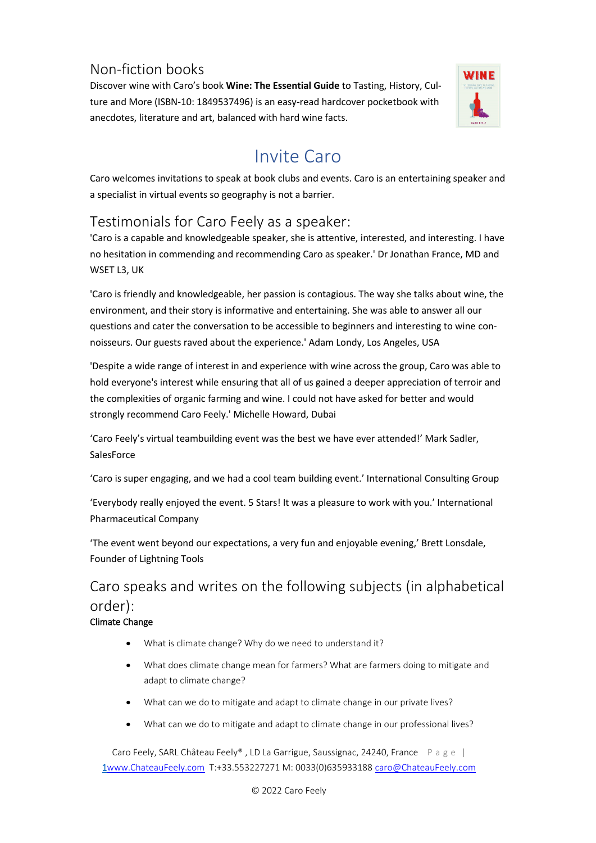### Non-fiction books

Discover wine with Caro's book **Wine: The Essential Guide** to Tasting, History, Culture and More (ISBN-10: 1849537496) is an easy-read hardcover pocketbook with anecdotes, literature and art, balanced with hard wine facts.



# Invite Caro

Caro welcomes invitations to speak at book clubs and events. Caro is an entertaining speaker and a specialist in virtual events so geography is not a barrier.

### Testimonials for Caro Feely as a speaker:

'Caro is a capable and knowledgeable speaker, she is attentive, interested, and interesting. I have no hesitation in commending and recommending Caro as speaker.' Dr Jonathan France, MD and WSFT L3, UK

'Caro is friendly and knowledgeable, her passion is contagious. The way she talks about wine, the environment, and their story is informative and entertaining. She was able to answer all our questions and cater the conversation to be accessible to beginners and interesting to wine connoisseurs. Our guests raved about the experience.' Adam Londy, Los Angeles, USA

'Despite a wide range of interest in and experience with wine across the group, Caro was able to hold everyone's interest while ensuring that all of us gained a deeper appreciation of terroir and the complexities of organic farming and wine. I could not have asked for better and would strongly recommend Caro Feely.' Michelle Howard, Dubai

'Caro Feely's virtual teambuilding event was the best we have ever attended!' Mark Sadler, **SalesForce** 

'Caro is super engaging, and we had a cool team building event.' International Consulting Group

'Everybody really enjoyed the event. 5 Stars! It was a pleasure to work with you.' International Pharmaceutical Company

'The event went beyond our expectations, a very fun and enjoyable evening,' Brett Lonsdale, Founder of Lightning Tools

# Caro speaks and writes on the following subjects (in alphabetical order):

### Climate Change

- What is climate change? Why do we need to understand it?
- What does climate change mean for farmers? What are farmers doing to mitigate and adapt to climate change?
- What can we do to mitigate and adapt to climate change in our private lives?
- What can we do to mitigate and adapt to climate change in our professional lives?

Caro Feely, SARL Château Feely®, LD La Garrigue, Saussignac, 24240, France P a g e | [1](mailto:1)[www.ChateauFeely.com](http://www.hautgarrigue.com/) T:+33.553227271 M: 0033(0)63593318[8 caro@ChateauFeely.com](mailto:caroline@wildearthvineyards.com)